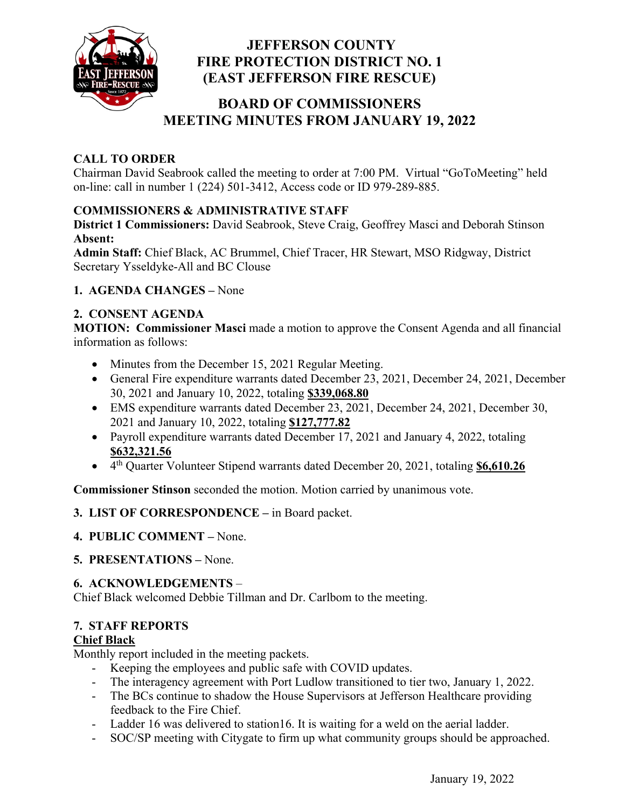

# **JEFFERSON COUNTY FIRE PROTECTION DISTRICT NO. 1 (EAST JEFFERSON FIRE RESCUE)**

# **BOARD OF COMMISSIONERS MEETING MINUTES FROM JANUARY 19, 2022**

# **CALL TO ORDER**

Chairman David Seabrook called the meeting to order at 7:00 PM. Virtual "GoToMeeting" held on-line: call in number 1 (224) 501-3412, Access code or ID 979-289-885.

### **COMMISSIONERS & ADMINISTRATIVE STAFF**

**District 1 Commissioners:** David Seabrook, Steve Craig, Geoffrey Masci and Deborah Stinson **Absent:** 

**Admin Staff:** Chief Black, AC Brummel, Chief Tracer, HR Stewart, MSO Ridgway, District Secretary Ysseldyke-All and BC Clouse

### **1. AGENDA CHANGES –** None

### **2. CONSENT AGENDA**

**MOTION: Commissioner Masci** made a motion to approve the Consent Agenda and all financial information as follows:

- Minutes from the December 15, 2021 Regular Meeting.
- General Fire expenditure warrants dated December 23, 2021, December 24, 2021, December 30, 2021 and January 10, 2022, totaling **\$339,068.80**
- EMS expenditure warrants dated December 23, 2021, December 24, 2021, December 30, 2021 and January 10, 2022, totaling **\$127,777.82**
- Payroll expenditure warrants dated December 17, 2021 and January 4, 2022, totaling **\$632,321.56**
- 4th Quarter Volunteer Stipend warrants dated December 20, 2021, totaling **\$6,610.26**

**Commissioner Stinson** seconded the motion. Motion carried by unanimous vote.

### **3. LIST OF CORRESPONDENCE –** in Board packet.

- **4. PUBLIC COMMENT** None.
- **5. PRESENTATIONS** None.

#### **6. ACKNOWLEDGEMENTS** –

Chief Black welcomed Debbie Tillman and Dr. Carlbom to the meeting.

### **7. STAFF REPORTS**

#### **Chief Black**

Monthly report included in the meeting packets.

- Keeping the employees and public safe with COVID updates.
- The interagency agreement with Port Ludlow transitioned to tier two, January 1, 2022.
- The BCs continue to shadow the House Supervisors at Jefferson Healthcare providing feedback to the Fire Chief.
- Ladder 16 was delivered to station 16. It is waiting for a weld on the aerial ladder.
- SOC/SP meeting with Citygate to firm up what community groups should be approached.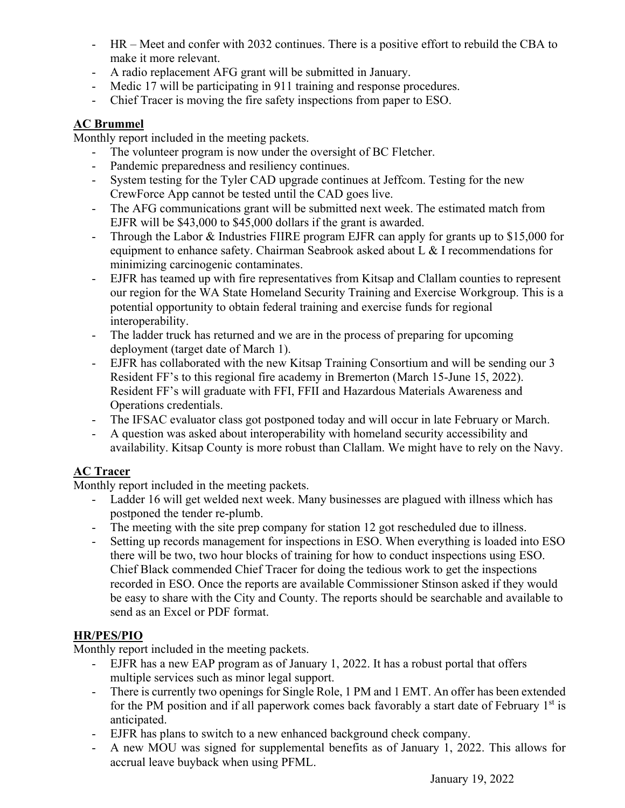- HR Meet and confer with 2032 continues. There is a positive effort to rebuild the CBA to make it more relevant.
- A radio replacement AFG grant will be submitted in January.
- Medic 17 will be participating in 911 training and response procedures.
- Chief Tracer is moving the fire safety inspections from paper to ESO.

## **AC Brummel**

Monthly report included in the meeting packets.

- The volunteer program is now under the oversight of BC Fletcher.
- Pandemic preparedness and resiliency continues.
- System testing for the Tyler CAD upgrade continues at Jeffcom. Testing for the new CrewForce App cannot be tested until the CAD goes live.
- The AFG communications grant will be submitted next week. The estimated match from EJFR will be \$43,000 to \$45,000 dollars if the grant is awarded.
- Through the Labor & Industries FIIRE program EJFR can apply for grants up to \$15,000 for equipment to enhance safety. Chairman Seabrook asked about L & I recommendations for minimizing carcinogenic contaminates.
- EJFR has teamed up with fire representatives from Kitsap and Clallam counties to represent our region for the WA State Homeland Security Training and Exercise Workgroup. This is a potential opportunity to obtain federal training and exercise funds for regional interoperability.
- The ladder truck has returned and we are in the process of preparing for upcoming deployment (target date of March 1).
- EJFR has collaborated with the new Kitsap Training Consortium and will be sending our 3 Resident FF's to this regional fire academy in Bremerton (March 15-June 15, 2022). Resident FF's will graduate with FFI, FFII and Hazardous Materials Awareness and Operations credentials.
- The IFSAC evaluator class got postponed today and will occur in late February or March.
- A question was asked about interoperability with homeland security accessibility and availability. Kitsap County is more robust than Clallam. We might have to rely on the Navy.

### **AC Tracer**

Monthly report included in the meeting packets.

- Ladder 16 will get welded next week. Many businesses are plagued with illness which has postponed the tender re-plumb.
- The meeting with the site prep company for station 12 got rescheduled due to illness.
- Setting up records management for inspections in ESO. When everything is loaded into ESO there will be two, two hour blocks of training for how to conduct inspections using ESO. Chief Black commended Chief Tracer for doing the tedious work to get the inspections recorded in ESO. Once the reports are available Commissioner Stinson asked if they would be easy to share with the City and County. The reports should be searchable and available to send as an Excel or PDF format.

### **HR/PES/PIO**

Monthly report included in the meeting packets.

- EJFR has a new EAP program as of January 1, 2022. It has a robust portal that offers multiple services such as minor legal support.
- There is currently two openings for Single Role, 1 PM and 1 EMT. An offer has been extended for the PM position and if all paperwork comes back favorably a start date of February  $1<sup>st</sup>$  is anticipated.
- EJFR has plans to switch to a new enhanced background check company.
- A new MOU was signed for supplemental benefits as of January 1, 2022. This allows for accrual leave buyback when using PFML.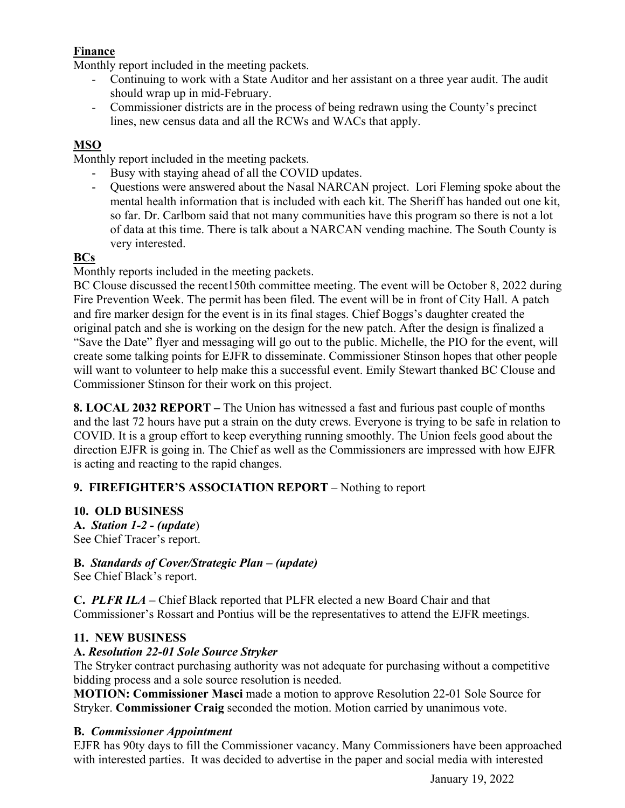# **Finance**

Monthly report included in the meeting packets.

- Continuing to work with a State Auditor and her assistant on a three year audit. The audit should wrap up in mid-February.
- Commissioner districts are in the process of being redrawn using the County's precinct lines, new census data and all the RCWs and WACs that apply.

# **MSO**

Monthly report included in the meeting packets.

- Busy with staying ahead of all the COVID updates.
- Questions were answered about the Nasal NARCAN project. Lori Fleming spoke about the mental health information that is included with each kit. The Sheriff has handed out one kit, so far. Dr. Carlbom said that not many communities have this program so there is not a lot of data at this time. There is talk about a NARCAN vending machine. The South County is very interested.

### **BCs**

Monthly reports included in the meeting packets.

BC Clouse discussed the recent150th committee meeting. The event will be October 8, 2022 during Fire Prevention Week. The permit has been filed. The event will be in front of City Hall. A patch and fire marker design for the event is in its final stages. Chief Boggs's daughter created the original patch and she is working on the design for the new patch. After the design is finalized a "Save the Date" flyer and messaging will go out to the public. Michelle, the PIO for the event, will create some talking points for EJFR to disseminate. Commissioner Stinson hopes that other people will want to volunteer to help make this a successful event. Emily Stewart thanked BC Clouse and Commissioner Stinson for their work on this project.

**8. LOCAL 2032 REPORT –** The Union has witnessed a fast and furious past couple of months and the last 72 hours have put a strain on the duty crews. Everyone is trying to be safe in relation to COVID. It is a group effort to keep everything running smoothly. The Union feels good about the direction EJFR is going in. The Chief as well as the Commissioners are impressed with how EJFR is acting and reacting to the rapid changes.

### **9. FIREFIGHTER'S ASSOCIATION REPORT** – Nothing to report

### **10. OLD BUSINESS**

**A.** *Station 1-2 - (update*) See Chief Tracer's report.

### **B.** *Standards of Cover/Strategic Plan – (update)*

See Chief Black's report.

**C.** *PLFR ILA –* Chief Black reported that PLFR elected a new Board Chair and that Commissioner's Rossart and Pontius will be the representatives to attend the EJFR meetings.

### **11. NEW BUSINESS**

### **A.** *Resolution 22-01 Sole Source Stryker*

The Stryker contract purchasing authority was not adequate for purchasing without a competitive bidding process and a sole source resolution is needed.

**MOTION: Commissioner Masci** made a motion to approve Resolution 22-01 Sole Source for Stryker. **Commissioner Craig** seconded the motion. Motion carried by unanimous vote.

### **B.** *Commissioner Appointment*

EJFR has 90ty days to fill the Commissioner vacancy. Many Commissioners have been approached with interested parties. It was decided to advertise in the paper and social media with interested